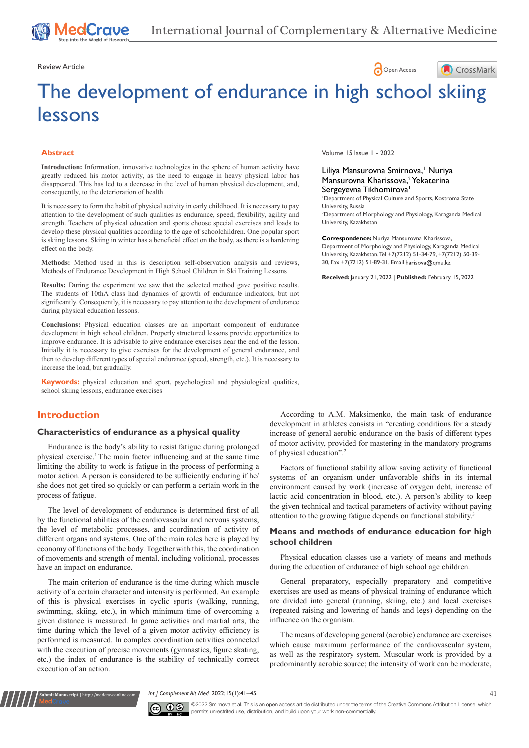## Review Article **Contract Contract Contract Contract Contract Contract Contract Contract Contract Contract Contract Contract Contract Contract Contract Contract Contract Contract Contract Contract Contract Contract Contract**

# The development of endurance in high school skiing lessons

#### **Abstract**

**Introduction:** Information, innovative technologies in the sphere of human activity have greatly reduced his motor activity, as the need to engage in heavy physical labor has disappeared. This has led to a decrease in the level of human physical development, and, consequently, to the deterioration of health.

It is necessary to form the habit of physical activity in early childhood. It is necessary to pay attention to the development of such qualities as endurance, speed, flexibility, agility and strength. Teachers of physical education and sports choose special exercises and loads to develop these physical qualities according to the age of schoolchildren. One popular sport is skiing lessons. Skiing in winter has a beneficial effect on the body, as there is a hardening effect on the body.

**Methods:** Method used in this is description self-observation analysis and reviews, Methods of Endurance Development in High School Children in Ski Training Lessons

**Results:** During the experiment we saw that the selected method gave positive results. The students of 10thA class had dynamics of growth of endurance indicators, but not significantly. Consequently, it is necessary to pay attention to the development of endurance during physical education lessons.

**Conclusions:** Physical education classes are an important component of endurance development in high school children. Properly structured lessons provide opportunities to improve endurance. It is advisable to give endurance exercises near the end of the lesson. Initially it is necessary to give exercises for the development of general endurance, and then to develop different types of special endurance (speed, strength, etc.). It is necessary to increase the load, but gradually.

**Keywords:** physical education and sport, psychological and physiological qualities, school skiing lessons, endurance exercises

#### **Introduction**

#### **Characteristics of endurance as a physical quality**

Endurance is the body's ability to resist fatigue during prolonged physical exercise.1 The main factor influencing and at the same time limiting the ability to work is fatigue in the process of performing a motor action. A person is considered to be sufficiently enduring if he/ she does not get tired so quickly or can perform a certain work in the process of fatigue.

The level of development of endurance is determined first of all by the functional abilities of the cardiovascular and nervous systems, the level of metabolic processes, and coordination of activity of different organs and systems. One of the main roles here is played by economy of functions of the body. Together with this, the coordination of movements and strength of mental, including volitional, processes have an impact on endurance.

The main criterion of endurance is the time during which muscle activity of a certain character and intensity is performed. An example of this is physical exercises in cyclic sports (walking, running, swimming, skiing, etc.), in which minimum time of overcoming a given distance is measured. In game activities and martial arts, the time during which the level of a given motor activity efficiency is performed is measured. In complex coordination activities connected with the execution of precise movements (gymnastics, figure skating, etc.) the index of endurance is the stability of technically correct execution of an action.

**it Manuscript** | http://medcraveonline.

Volume 15 Issue 1 - 2022

#### Liliya Mansurovna Smirnova,<sup>1</sup> Nuriya Mansurovna Kharissova,<sup>2</sup> Yekaterina Sergeyevna Tikhomirova<sup>1</sup>

1 Department of Physical Culture and Sports, Kostroma State University, Russia 2 Department of Morphology and Physiology, Karaganda Medical

CrossMark

University, Kazakhstan

**Correspondence:** Nuriya Mansurovna Kharissova, Department of Morphology and Physiology, Karaganda Medical University, Kazakhstan, Tel +7(7212) 51-34-79, +7(7212) 50-39- 30, Fax +7(7212) 51-89-31. Email harisova@gmu.kz

**Received:** January 21, 2022 | **Published:** February 15, 2022

According to A.M. Maksimenko, the main task of endurance development in athletes consists in "creating conditions for a steady increase of general aerobic endurance on the basis of different types of motor activity, provided for mastering in the mandatory programs of physical education".2

Factors of functional stability allow saving activity of functional systems of an organism under unfavorable shifts in its internal environment caused by work (increase of oxygen debt, increase of lactic acid concentration in blood, etc.). A person's ability to keep the given technical and tactical parameters of activity without paying attention to the growing fatigue depends on functional stability.<sup>3</sup>

#### **Means and methods of endurance education for high school children**

Physical education classes use a variety of means and methods during the education of endurance of high school age children.

General preparatory, especially preparatory and competitive exercises are used as means of physical training of endurance which are divided into general (running, skiing, etc.) and local exercises (repeated raising and lowering of hands and legs) depending on the influence on the organism.

The means of developing general (aerobic) endurance are exercises which cause maximum performance of the cardiovascular system, as well as the respiratory system. Muscular work is provided by a predominantly aerobic source; the intensity of work can be moderate,

*Int J Complement Alt Med.* 2022;15(1):41‒45. 41



©2022 Smirnova et al. This is an open access article distributed under the terms of the Creative Commons Attribution License, which permits unrestrited use, distribution, and build upon your work non-commercially.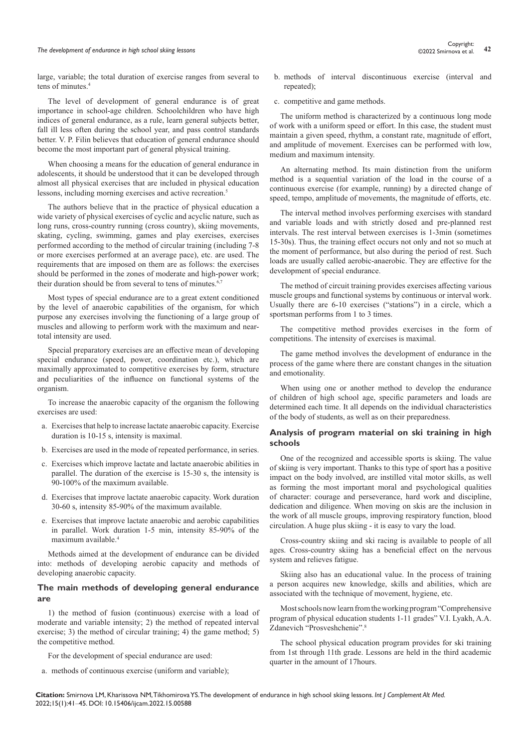# **The development of endurance in high school skiing lessons** *42* **Copyright: 42** Copyright: **42** Copyright: **42** Continuous at al.

large, variable; the total duration of exercise ranges from several to tens of minutes.4

The level of development of general endurance is of great importance in school-age children. Schoolchildren who have high indices of general endurance, as a rule, learn general subjects better, fall ill less often during the school year, and pass control standards better. V. P. Filin believes that education of general endurance should become the most important part of general physical training.

When choosing a means for the education of general endurance in adolescents, it should be understood that it can be developed through almost all physical exercises that are included in physical education lessons, including morning exercises and active recreation.<sup>5</sup>

The authors believe that in the practice of physical education a wide variety of physical exercises of cyclic and acyclic nature, such as long runs, cross-country running (cross country), skiing movements, skating, cycling, swimming, games and play exercises, exercises performed according to the method of circular training (including 7-8 or more exercises performed at an average pace), etc. are used. The requirements that are imposed on them are as follows: the exercises should be performed in the zones of moderate and high-power work; their duration should be from several to tens of minutes.<sup>6,7</sup>

Most types of special endurance are to a great extent conditioned by the level of anaerobic capabilities of the organism, for which purpose any exercises involving the functioning of a large group of muscles and allowing to perform work with the maximum and neartotal intensity are used.

Special preparatory exercises are an effective mean of developing special endurance (speed, power, coordination etc.), which are maximally approximated to competitive exercises by form, structure and peculiarities of the influence on functional systems of the organism.

To increase the anaerobic capacity of the organism the following exercises are used:

- a. Exercises that help to increase lactate anaerobic capacity. Exercise duration is 10-15 s, intensity is maximal.
- b. Exercises are used in the mode of repeated performance, in series.
- c. Exercises which improve lactate and lactate anaerobic abilities in parallel. The duration of the exercise is 15-30 s, the intensity is 90-100% of the maximum available.
- d. Exercises that improve lactate anaerobic capacity. Work duration 30-60 s, intensity 85-90% of the maximum available.
- e. Exercises that improve lactate anaerobic and aerobic capabilities in parallel. Work duration 1-5 min, intensity 85-90% of the maximum available.4

Methods aimed at the development of endurance can be divided into: methods of developing aerobic capacity and methods of developing anaerobic capacity.

#### **The main methods of developing general endurance are**

1) the method of fusion (continuous) exercise with a load of moderate and variable intensity; 2) the method of repeated interval exercise; 3) the method of circular training; 4) the game method; 5) the competitive method.

For the development of special endurance are used:

a. methods of continuous exercise (uniform and variable);

- b. methods of interval discontinuous exercise (interval and repeated);
- c. competitive and game methods.

The uniform method is characterized by a continuous long mode of work with a uniform speed or effort. In this case, the student must maintain a given speed, rhythm, a constant rate, magnitude of effort, and amplitude of movement. Exercises can be performed with low, medium and maximum intensity.

An alternating method. Its main distinction from the uniform method is a sequential variation of the load in the course of a continuous exercise (for example, running) by a directed change of speed, tempo, amplitude of movements, the magnitude of efforts, etc.

The interval method involves performing exercises with standard and variable loads and with strictly dosed and pre-planned rest intervals. The rest interval between exercises is 1-3min (sometimes 15-30s). Thus, the training effect occurs not only and not so much at the moment of performance, but also during the period of rest. Such loads are usually called aerobic-anaerobic. They are effective for the development of special endurance.

The method of circuit training provides exercises affecting various muscle groups and functional systems by continuous or interval work. Usually there are 6-10 exercises ("stations") in a circle, which a sportsman performs from 1 to 3 times.

The competitive method provides exercises in the form of competitions. The intensity of exercises is maximal.

The game method involves the development of endurance in the process of the game where there are constant changes in the situation and emotionality.

When using one or another method to develop the endurance of children of high school age, specific parameters and loads are determined each time. It all depends on the individual characteristics of the body of students, as well as on their preparedness.

#### **Analysis of program material on ski training in high schools**

One of the recognized and accessible sports is skiing. The value of skiing is very important. Thanks to this type of sport has a positive impact on the body involved, are instilled vital motor skills, as well as forming the most important moral and psychological qualities of character: courage and perseverance, hard work and discipline, dedication and diligence. When moving on skis are the inclusion in the work of all muscle groups, improving respiratory function, blood circulation. A huge plus skiing - it is easy to vary the load.

Cross-country skiing and ski racing is available to people of all ages. Cross-country skiing has a beneficial effect on the nervous system and relieves fatigue.

Skiing also has an educational value. In the process of training a person acquires new knowledge, skills and abilities, which are associated with the technique of movement, hygiene, etc.

Most schools now learn from the working program "Comprehensive program of physical education students 1-11 grades" V.I. Lyakh, A.A. Zdanevich "Prosveshchenie".8

The school physical education program provides for ski training from 1st through 11th grade. Lessons are held in the third academic quarter in the amount of 17hours.

**Citation:** Smirnova LM, Kharissova NM, Tikhomirova YS. The development of endurance in high school skiing lessons. *Int J Complement Alt Med.*  2022;15(1):41‒45. DOI: [10.15406/ijcam.2022.15.00588](https://doi.org/10.15406/ijcam.2022.15.00588)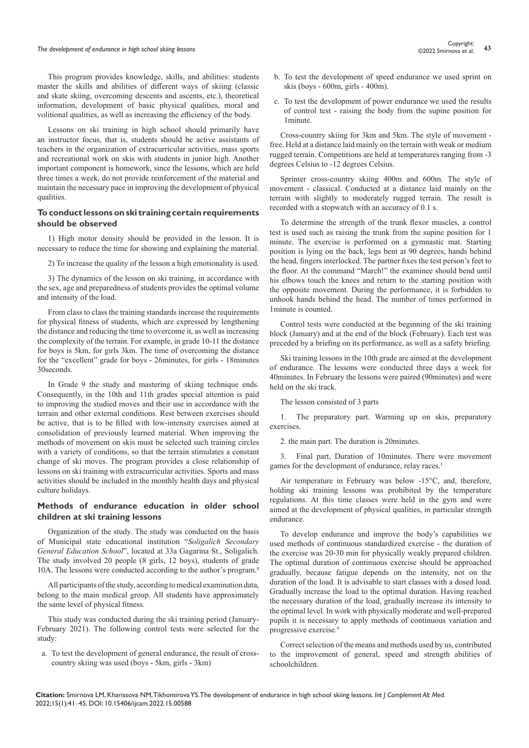This program provides knowledge, skills, and abilities: students master the skills and abilities of different ways of skiing (classic and skate skiing, overcoming descents and ascents, etc.), theoretical information, development of basic physical qualities, moral and volitional qualities, as well as increasing the efficiency of the body.

Lessons on ski training in high school should primarily have an instructor focus, that is, students should be active assistants of teachers in the organization of extracurricular activities, mass sports and recreational work on skis with students in junior high. Another important component is homework, since the lessons, which are held three times a week, do not provide reinforcement of the material and maintain the necessary pace in improving the development of physical qualities.

#### **To conduct lessons on ski training certain requirements should be observed**

1) High motor density should be provided in the lesson. It is necessary to reduce the time for showing and explaining the material.

2) To increase the quality of the lesson a high emotionality is used.

3) The dynamics of the lesson on ski training, in accordance with the sex, age and preparedness of students provides the optimal volume and intensity of the load.

From class to class the training standards increase the requirements for physical fitness of students, which are expressed by lengthening the distance and reducing the time to overcome it, as well as increasing the complexity of the terrain. For example, in grade 10-11 the distance for boys is 5km, for girls 3km. The time of overcoming the distance for the "excellent" grade for boys - 26minutes, for girls - 18minutes 30seconds.

In Grade 9 the study and mastering of skiing technique ends. Consequently, in the 10th and 11th grades special attention is paid to improving the studied moves and their use in accordance with the terrain and other external conditions. Rest between exercises should be active, that is to be filled with low-intensity exercises aimed at consolidation of previously learned material. When improving the methods of movement on skis must be selected such training circles with a variety of conditions, so that the terrain stimulates a constant change of ski moves. The program provides a close relationship of lessons on ski training with extracurricular activities. Sports and mass activities should be included in the monthly health days and physical culture holidays.

#### **Methods of endurance education in older school children at ski training lessons**

Organization of the study. The study was conducted on the basis of Municipal state educational institution "*Soligalich Secondary General Education School*", located at 33a Gagarina St., Soligalich. The study involved 20 people (8 girls, 12 boys), students of grade 10A. The lessons were conducted according to the author's program.<sup>8</sup>

All participants of the study, according to medical examination data, belong to the main medical group. All students have approximately the same level of physical fitness.

This study was conducted during the ski training period (January-February 2021). The following control tests were selected for the study:

a. To test the development of general endurance, the result of crosscountry skiing was used (boys - 5km, girls - 3km)

- b. To test the development of speed endurance we used sprint on skis (boys - 600m, girls - 400m).
- c. To test the development of power endurance we used the results of control test - raising the body from the supine position for 1minute.

Cross-country skiing for 3km and 5km. The style of movement free. Held at a distance laid mainly on the terrain with weak or medium rugged terrain. Competitions are held at temperatures ranging from -3 degrees Celsius to -12 degrees Celsius.

Sprinter cross-country skiing 400m and 600m. The style of movement - classical. Conducted at a distance laid mainly on the terrain with slightly to moderately rugged terrain. The result is recorded with a stopwatch with an accuracy of 0.1 s.

To determine the strength of the trunk flexor muscles, a control test is used such as raising the trunk from the supine position for 1 minute. The exercise is performed on a gymnastic mat. Starting position is lying on the back, legs bent at 90 degrees, hands behind the head, fingers interlocked. The partner fixes the test person's feet to the floor. At the command "March!" the examinee should bend until his elbows touch the knees and return to the starting position with the opposite movement. During the performance, it is forbidden to unhook hands behind the head. The number of times performed in 1minute is counted.

Control tests were conducted at the beginning of the ski training block (January) and at the end of the block (February). Each test was preceded by a briefing on its performance, as well as a safety briefing.

Ski training lessons in the 10th grade are aimed at the development of endurance. The lessons were conducted three days a week for 40minutes. In February the lessons were paired (90minutes) and were held on the ski track.

The lesson consisted of 3 parts

1. The preparatory part. Warming up on skis, preparatory exercises.

2. the main part. The duration is 20minutes.

3. Final part, Duration of 10minutes. There were movement games for the development of endurance, relay races.<sup>1</sup>

Air temperature in February was below -15°C, and, therefore, holding ski training lessons was prohibited by the temperature regulations. At this time classes were held in the gym and were aimed at the development of physical qualities, in particular strength endurance.

To develop endurance and improve the body's capabilities we used methods of continuous standardized exercise - the duration of the exercise was 20-30 min for physically weakly prepared children. The optimal duration of continuous exercise should be approached gradually, because fatigue depends on the intensity, not on the duration of the load. It is advisable to start classes with a dosed load. Gradually increase the load to the optimal duration. Having reached the necessary duration of the load, gradually increase its intensity to the optimal level. In work with physically moderate and well-prepared pupils it is necessary to apply methods of continuous variation and progressive exercise.9

Correct selection of the means and methods used by us, contributed to the improvement of general, speed and strength abilities of schoolchildren.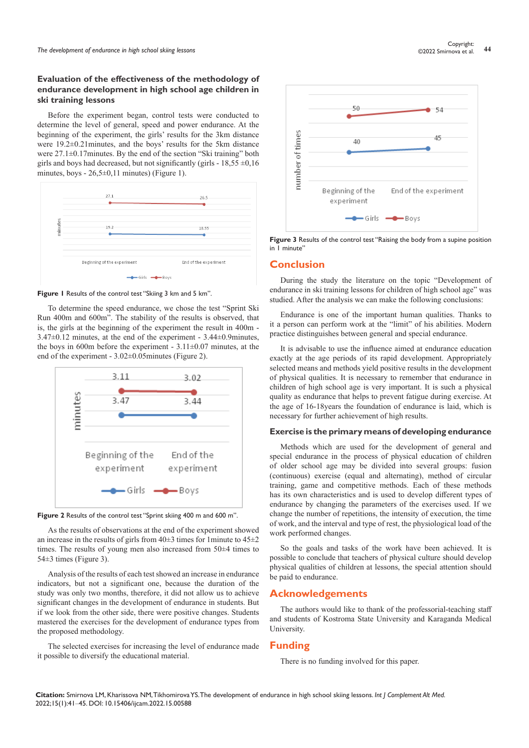#### **Evaluation of the effectiveness of the methodology of endurance development in high school age children in ski training lessons**

Before the experiment began, control tests were conducted to determine the level of general, speed and power endurance. At the beginning of the experiment, the girls' results for the 3km distance were 19.2±0.21minutes, and the boys' results for the 5km distance were 27.1±0.17minutes. By the end of the section "Ski training" both girls and boys had decreased, but not significantly (girls -  $18,55 \pm 0,16$ ) minutes, boys - 26,5±0,11 minutes) (Figure 1).



**Figure 1** Results of the control test "Skiing 3 km and 5 km".

To determine the speed endurance, we chose the test "Sprint Ski Run 400m and 600m". The stability of the results is observed, that is, the girls at the beginning of the experiment the result in 400m - 3.47±0.12 minutes, at the end of the experiment - 3.44±0.9minutes, the boys in 600m before the experiment - 3.11±0.07 minutes, at the end of the experiment - 3.02±0.05minutes (Figure 2).





As the results of observations at the end of the experiment showed an increase in the results of girls from  $40\pm 3$  times for 1minute to  $45\pm 2$ times. The results of young men also increased from 50±4 times to 54±3 times (Figure 3).

Analysis of the results of each test showed an increase in endurance indicators, but not a significant one, because the duration of the study was only two months, therefore, it did not allow us to achieve significant changes in the development of endurance in students. But if we look from the other side, there were positive changes. Students mastered the exercises for the development of endurance types from the proposed methodology.

The selected exercises for increasing the level of endurance made it possible to diversify the educational material.



**Figure 3** Results of the control test "Raising the body from a supine position in 1 minute"

#### **Conclusion**

During the study the literature on the topic "Development of endurance in ski training lessons for children of high school age" was studied. After the analysis we can make the following conclusions:

Endurance is one of the important human qualities. Thanks to it a person can perform work at the "limit" of his abilities. Modern practice distinguishes between general and special endurance.

It is advisable to use the influence aimed at endurance education exactly at the age periods of its rapid development. Appropriately selected means and methods yield positive results in the development of physical qualities. It is necessary to remember that endurance in children of high school age is very important. It is such a physical quality as endurance that helps to prevent fatigue during exercise. At the age of 16-18years the foundation of endurance is laid, which is necessary for further achievement of high results.

#### **Exercise is the primary means of developing endurance**

Methods which are used for the development of general and special endurance in the process of physical education of children of older school age may be divided into several groups: fusion (continuous) exercise (equal and alternating), method of circular training, game and competitive methods. Each of these methods has its own characteristics and is used to develop different types of endurance by changing the parameters of the exercises used. If we change the number of repetitions, the intensity of execution, the time of work, and the interval and type of rest, the physiological load of the work performed changes.

So the goals and tasks of the work have been achieved. It is possible to conclude that teachers of physical culture should develop physical qualities of children at lessons, the special attention should be paid to endurance.

#### **Acknowledgements**

The authors would like to thank of the professorial-teaching staff and students of Kostroma State University and Karaganda Medical University.

### **Funding**

There is no funding involved for this paper.